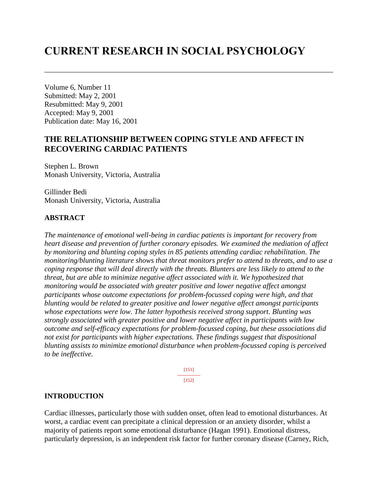# **CURRENT RESEARCH IN SOCIAL PSYCHOLOGY**

Volume 6, Number 11 Submitted: May 2, 2001 Resubmitted: May 9, 2001 Accepted: May 9, 2001 Publication date: May 16, 2001

# **THE RELATIONSHIP BETWEEN COPING STYLE AND AFFECT IN RECOVERING CARDIAC PATIENTS**

Stephen L. Brown Monash University, Victoria, Australia

Gillinder Bedi Monash University, Victoria, Australia

#### **ABSTRACT**

*The maintenance of emotional well-being in cardiac patients is important for recovery from heart disease and prevention of further coronary episodes. We examined the mediation of affect by monitoring and blunting coping styles in 85 patients attending cardiac rehabilitation. The monitoring/blunting literature shows that threat monitors prefer to attend to threats, and to use a coping response that will deal directly with the threats. Blunters are less likely to attend to the threat, but are able to minimize negative affect associated with it. We hypothesized that monitoring would be associated with greater positive and lower negative affect amongst participants whose outcome expectations for problem-focussed coping were high, and that blunting would be related to greater positive and lower negative affect amongst participants whose expectations were low. The latter hypothesis received strong support. Blunting was strongly associated with greater positive and lower negative affect in participants with low outcome and self-efficacy expectations for problem-focussed coping, but these associations did not exist for participants with higher expectations. These findings suggest that dispositional blunting assists to minimize emotional disturbance when problem-focussed coping is perceived to be ineffective.* 

> [151] ---------------  $[152]$

#### **INTRODUCTION**

Cardiac illnesses, particularly those with sudden onset, often lead to emotional disturbances. At worst, a cardiac event can precipitate a clinical depression or an anxiety disorder, whilst a majority of patients report some emotional disturbance (Hagan 1991). Emotional distress, particularly depression, is an independent risk factor for further coronary disease (Carney, Rich,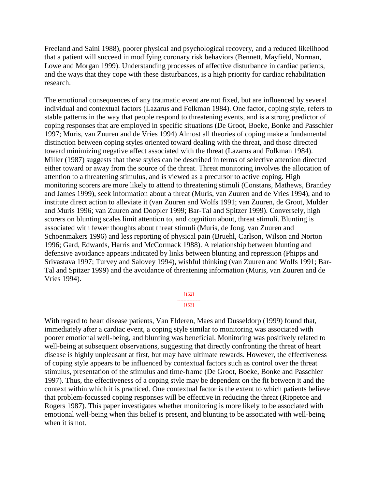Freeland and Saini 1988), poorer physical and psychological recovery, and a reduced likelihood that a patient will succeed in modifying coronary risk behaviors (Bennett, Mayfield, Norman, Lowe and Morgan 1999). Understanding processes of affective disturbance in cardiac patients, and the ways that they cope with these disturbances, is a high priority for cardiac rehabilitation research.

The emotional consequences of any traumatic event are not fixed, but are influenced by several individual and contextual factors (Lazarus and Folkman 1984). One factor, coping style, refers to stable patterns in the way that people respond to threatening events, and is a strong predictor of coping responses that are employed in specific situations (De Groot, Boeke, Bonke and Passchier 1997; Muris, van Zuuren and de Vries 1994) Almost all theories of coping make a fundamental distinction between coping styles oriented toward dealing with the threat, and those directed toward minimizing negative affect associated with the threat (Lazarus and Folkman 1984). Miller (1987) suggests that these styles can be described in terms of selective attention directed either toward or away from the source of the threat. Threat monitoring involves the allocation of attention to a threatening stimulus, and is viewed as a precursor to active coping. High monitoring scorers are more likely to attend to threatening stimuli (Constans, Mathews, Brantley and James 1999), seek information about a threat (Muris, van Zuuren and de Vries 1994), and to institute direct action to alleviate it (van Zuuren and Wolfs 1991; van Zuuren, de Groot, Mulder and Muris 1996; van Zuuren and Doopler 1999; Bar-Tal and Spitzer 1999). Conversely, high scorers on blunting scales limit attention to, and cognition about, threat stimuli. Blunting is associated with fewer thoughts about threat stimuli (Muris, de Jong, van Zuuren and Schoenmakers 1996) and less reporting of physical pain (Bruehl, Carlson, Wilson and Norton 1996; Gard, Edwards, Harris and McCormack 1988). A relationship between blunting and defensive avoidance appears indicated by links between blunting and repression (Phipps and Srivastava 1997; Turvey and Salovey 1994), wishful thinking (van Zuuren and Wolfs 1991; Bar-Tal and Spitzer 1999) and the avoidance of threatening information (Muris, van Zuuren and de Vries 1994).

> [152] ---------------

[153]

With regard to heart disease patients, Van Elderen, Maes and Dusseldorp (1999) found that, immediately after a cardiac event, a coping style similar to monitoring was associated with poorer emotional well-being, and blunting was beneficial. Monitoring was positively related to well-being at subsequent observations, suggesting that directly confronting the threat of heart disease is highly unpleasant at first, but may have ultimate rewards. However, the effectiveness of coping style appears to be influenced by contextual factors such as control over the threat stimulus, presentation of the stimulus and time-frame (De Groot, Boeke, Bonke and Passchier 1997). Thus, the effectiveness of a coping style may be dependent on the fit between it and the context within which it is practiced. One contextual factor is the extent to which patients believe that problem-focussed coping responses will be effective in reducing the threat (Rippetoe and Rogers 1987). This paper investigates whether monitoring is more likely to be associated with emotional well-being when this belief is present, and blunting to be associated with well-being when it is not.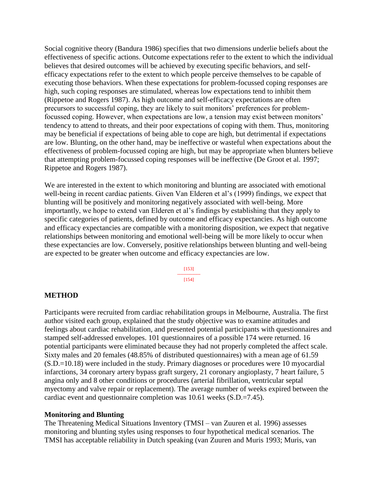Social cognitive theory (Bandura 1986) specifies that two dimensions underlie beliefs about the effectiveness of specific actions. Outcome expectations refer to the extent to which the individual believes that desired outcomes will be achieved by executing specific behaviors, and selfefficacy expectations refer to the extent to which people perceive themselves to be capable of executing those behaviors. When these expectations for problem-focussed coping responses are high, such coping responses are stimulated, whereas low expectations tend to inhibit them (Rippetoe and Rogers 1987). As high outcome and self-efficacy expectations are often precursors to successful coping, they are likely to suit monitors' preferences for problemfocussed coping. However, when expectations are low, a tension may exist between monitors' tendency to attend to threats, and their poor expectations of coping with them. Thus, monitoring may be beneficial if expectations of being able to cope are high, but detrimental if expectations are low. Blunting, on the other hand, may be ineffective or wasteful when expectations about the effectiveness of problem-focussed coping are high, but may be appropriate when blunters believe that attempting problem-focussed coping responses will be ineffective (De Groot et al. 1997; Rippetoe and Rogers 1987).

We are interested in the extent to which monitoring and blunting are associated with emotional well-being in recent cardiac patients. Given Van Elderen et al's (1999) findings, we expect that blunting will be positively and monitoring negatively associated with well-being. More importantly, we hope to extend van Elderen et al's findings by establishing that they apply to specific categories of patients, defined by outcome and efficacy expectancies. As high outcome and efficacy expectancies are compatible with a monitoring disposition, we expect that negative relationships between monitoring and emotional well-being will be more likely to occur when these expectancies are low. Conversely, positive relationships between blunting and well-being are expected to be greater when outcome and efficacy expectancies are low.

> [153] --------------- [154]

#### **METHOD**

Participants were recruited from cardiac rehabilitation groups in Melbourne, Australia. The first author visited each group, explained that the study objective was to examine attitudes and feelings about cardiac rehabilitation, and presented potential participants with questionnaires and stamped self-addressed envelopes. 101 questionnaires of a possible 174 were returned. 16 potential participants were eliminated because they had not properly completed the affect scale. Sixty males and 20 females (48.85% of distributed questionnaires) with a mean age of 61.59 (S.D.=10.18) were included in the study. Primary diagnoses or procedures were 10 myocardial infarctions, 34 coronary artery bypass graft surgery, 21 coronary angioplasty, 7 heart failure, 5 angina only and 8 other conditions or procedures (arterial fibrillation, ventricular septal myectomy and valve repair or replacement). The average number of weeks expired between the cardiac event and questionnaire completion was 10.61 weeks (S.D.=7.45).

#### **Monitoring and Blunting**

The Threatening Medical Situations Inventory (TMSI – van Zuuren et al. 1996) assesses monitoring and blunting styles using responses to four hypothetical medical scenarios. The TMSI has acceptable reliability in Dutch speaking (van Zuuren and Muris 1993; Muris, van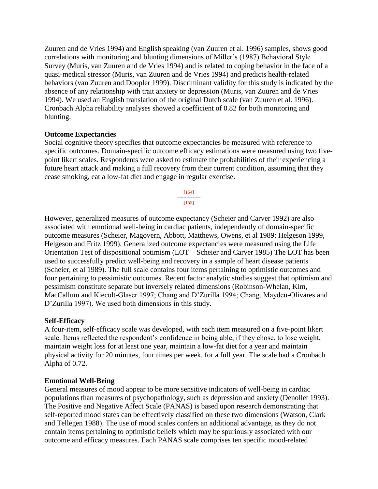Zuuren and de Vries 1994) and English speaking (van Zuuren et al. 1996) samples, shows good correlations with monitoring and blunting dimensions of Miller's (1987) Behavioral Style Survey (Muris, van Zuuren and de Vries 1994) and is related to coping behavior in the face of a quasi-medical stressor (Muris, van Zuuren and de Vries 1994) and predicts health-related behaviors (van Zuuren and Doopler 1999). Discriminant validity for this study is indicated by the absence of any relationship with trait anxiety or depression (Muris, van Zuuren and de Vries 1994). We used an English translation of the original Dutch scale (van Zuuren et al. 1996). Cronbach Alpha reliability analyses showed a coefficient of 0.82 for both monitoring and blunting.

#### **Outcome Expectancies**

Social cognitive theory specifies that outcome expectancies be measured with reference to specific outcomes. Domain-specific outcome efficacy estimations were measured using two fivepoint likert scales. Respondents were asked to estimate the probabilities of their experiencing a future heart attack and making a full recovery from their current condition, assuming that they cease smoking, eat a low-fat diet and engage in regular exercise.

> [154] --------------- [155]

However, generalized measures of outcome expectancy (Scheier and Carver 1992) are also associated with emotional well-being in cardiac patients, independently of domain-specific outcome measures (Scheier, Magovern, Abbott, Matthews, Owens, et al 1989; Helgeson 1999, Helgeson and Fritz 1999). Generalized outcome expectancies were measured using the Life Orientation Test of dispositional optimism (LOT – Scheier and Carver 1985) The LOT has been used to successfully predict well-being and recovery in a sample of heart disease patients (Scheier, et al 1989). The full scale contains four items pertaining to optimistic outcomes and four pertaining to pessimistic outcomes. Recent factor analytic studies suggest that optimism and pessimism constitute separate but inversely related dimensions (Robinson-Whelan, Kim, MacCallum and Kiecolt-Glaser 1997; Chang and D'Zurilla 1994; Chang, Maydeu-Olivares and D'Zurilla 1997). We used both dimensions in this study.

# **Self-Efficacy**

A four-item, self-efficacy scale was developed, with each item measured on a five-point likert scale. Items reflected the respondent's confidence in being able, if they chose, to lose weight, maintain weight loss for at least one year, maintain a low-fat diet for a year and maintain physical activity for 20 minutes, four times per week, for a full year. The scale had a Cronbach Alpha of 0.72.

# **Emotional Well-Being**

General measures of mood appear to be more sensitive indicators of well-being in cardiac populations than measures of psychopathology, such as depression and anxiety (Denollet 1993). The Positive and Negative Affect Scale (PANAS) is based upon research demonstrating that self-reported mood states can be effectively classified on these two dimensions (Watson, Clark and Tellegen 1988). The use of mood scales confers an additional advantage, as they do not contain items pertaining to optimistic beliefs which may be spuriously associated with our outcome and efficacy measures. Each PANAS scale comprises ten specific mood-related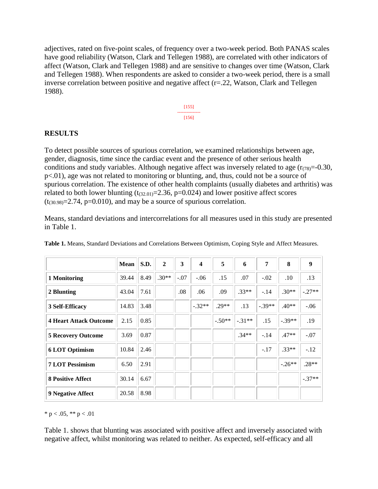adjectives, rated on five-point scales, of frequency over a two-week period. Both PANAS scales have good reliability (Watson, Clark and Tellegen 1988), are correlated with other indicators of affect (Watson, Clark and Tellegen 1988) and are sensitive to changes over time (Watson, Clark and Tellegen 1988). When respondents are asked to consider a two-week period, there is a small inverse correlation between positive and negative affect (r=.22, Watson, Clark and Tellegen 1988).



#### **RESULTS**

To detect possible sources of spurious correlation, we examined relationships between age, gender, diagnosis, time since the cardiac event and the presence of other serious health conditions and study variables. Although negative affect was inversely related to age  $(r_{(78)}=0.30,$ p<.01), age was not related to monitoring or blunting, and, thus, could not be a source of spurious correlation. The existence of other health complaints (usually diabetes and arthritis) was related to both lower blunting  $(t_{(32.01)}=2.36, p=0.024)$  and lower positive affect scores  $(t_{(30.98)}=2.74, p=0.010)$ , and may be a source of spurious correlation.

Means, standard deviations and intercorrelations for all measures used in this study are presented in Table 1.

|                               | <b>Mean</b> | S.D. | $\mathbf{2}$ | 3      | $\overline{\mathbf{4}}$ | 5        | 6       | $\overline{7}$ | 8        | 9        |
|-------------------------------|-------------|------|--------------|--------|-------------------------|----------|---------|----------------|----------|----------|
| 1 Monitoring                  | 39.44       | 8.49 | $.30**$      | $-.07$ | $-.06$                  | .15      | .07     | $-.02$         | .10      | .13      |
| 2 Blunting                    | 43.04       | 7.61 |              | .08    | .06                     | .09      | $.33**$ | $-.14$         | $.30**$  | $-.27**$ |
| 3 Self-Efficacy               | 14.83       | 3.48 |              |        | $-.32**$                | $.29**$  | .13     | $-.39**$       | $.40**$  | $-.06$   |
| <b>4 Heart Attack Outcome</b> | 2.15        | 0.85 |              |        |                         | $-.50**$ | $-31**$ | .15            | $-.39**$ | .19      |
| <b>5 Recovery Outcome</b>     | 3.69        | 0.87 |              |        |                         |          | $.34**$ | $-.14$         | $.47**$  | $-.07$   |
| <b>6 LOT Optimism</b>         | 10.84       | 2.46 |              |        |                         |          |         | $-.17$         | $.33**$  | $-.12$   |
| <b>7 LOT Pessimism</b>        | 6.50        | 2.91 |              |        |                         |          |         |                | $-26**$  | $.28**$  |
| <b>8 Positive Affect</b>      | 30.14       | 6.67 |              |        |                         |          |         |                |          | $-.37**$ |
| <b>9 Negative Affect</b>      | 20.58       | 8.98 |              |        |                         |          |         |                |          |          |

**Table 1.** Means, Standard Deviations and Correlations Between Optimism, Coping Style and Affect Measures.

\* p < .05, \*\* p < .01

Table 1. shows that blunting was associated with positive affect and inversely associated with negative affect, whilst monitoring was related to neither. As expected, self-efficacy and all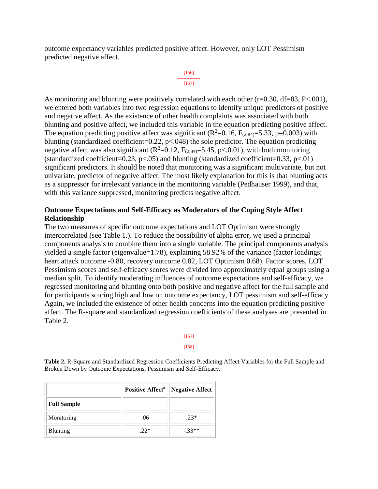outcome expectancy variables predicted positive affect. However, only LOT Pessimism predicted negative affect.

```
[156]
---------------
   [157]
```
As monitoring and blunting were positively correlated with each other (r=0.30, df=83, P<.001). we entered both variables into two regression equations to identify unique predictors of positive and negative affect. As the existence of other health complaints was associated with both blunting and positive affect, we included this variable in the equation predicting positive affect. The equation predicting positive affect was significant ( $R^2$ =0.16,  $F_{(2,84)}$ =5.33, p=0.003) with blunting (standardized coefficient=0.22,  $p<0.048$ ) the sole predictor. The equation predicting negative affect was also significant  $(R^2=0.12, F_{(2,84)}=5.45, p<0.01)$ , with both monitoring (standardized coefficient=0.23,  $p<0.05$ ) and blunting (standardized coefficient=0.33,  $p<0.01$ ) significant predictors. It should be noted that monitoring was a significant multivariate, but not univariate, predictor of negative affect. The most likely explanation for this is that blunting acts as a suppressor for irrelevant variance in the monitoring variable (Pedhauser 1999), and that, with this variance suppressed, monitoring predicts negative affect.

### **Outcome Expectations and Self-Efficacy as Moderators of the Coping Style Affect Relationship**

The two measures of specific outcome expectations and LOT Optimism were strongly intercorrelated (see Table 1.). To reduce the possibility of alpha error, we used a principal components analysis to combine them into a single variable. The principal components analysis yielded a single factor (eigenvalue=1.78), explaining 58.92% of the variance (factor loadings; heart attack outcome -0.80, recovery outcome 0.82, LOT Optimism 0.68). Factor scores, LOT Pessimism scores and self-efficacy scores were divided into approximately equal groups using a median split. To identify moderating influences of outcome expectations and self-efficacy, we regressed monitoring and blunting onto both positive and negative affect for the full sample and for participants scoring high and low on outcome expectancy, LOT pessimism and self-efficacy. Again, we included the existence of other health concerns into the equation predicting positive affect. The R-square and standardized regression coefficients of these analyses are presented in Table 2.

> [157] --------------- [158]

**Table 2.** R-Square and Standardized Regression Coefficients Predicting Affect Variables for the Full Sample and Broken Down by Outcome Expectations, Pessimism and Self-Efficacy.

|                    | <b>Positive Affect<sup>#</sup></b> | <b>Negative Affect</b> |  |  |
|--------------------|------------------------------------|------------------------|--|--|
| <b>Full Sample</b> |                                    |                        |  |  |
| Monitoring         | .06                                | $.23*$                 |  |  |
| Blunting           | $22*$                              | $-.33**$               |  |  |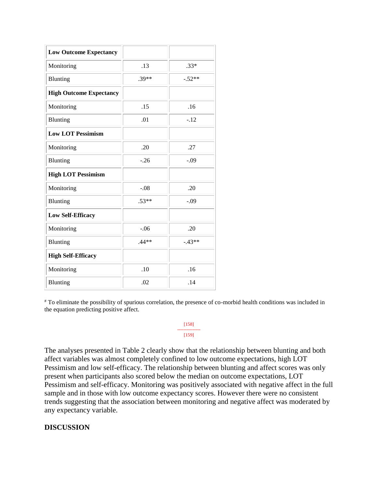| <b>Low Outcome Expectancy</b>  |         |          |
|--------------------------------|---------|----------|
| Monitoring                     | .13     | $.33*$   |
| Blunting                       | $.39**$ | $-.52**$ |
| <b>High Outcome Expectancy</b> |         |          |
| Monitoring                     | .15     | .16      |
| Blunting                       | .01     | $-.12$   |
| <b>Low LOT Pessimism</b>       |         |          |
| Monitoring                     | .20     | .27      |
| Blunting                       | $-.26$  | $-.09$   |
| <b>High LOT Pessimism</b>      |         |          |
| Monitoring                     | $-.08$  | .20      |
| Blunting                       | $.53**$ | $-.09$   |
| <b>Low Self-Efficacy</b>       |         |          |
| Monitoring                     | $-.06$  | .20      |
| Blunting                       | $.44**$ | $-43**$  |
| <b>High Self-Efficacy</b>      |         |          |
| Monitoring                     | .10     | .16      |
| Blunting                       | .02     | .14      |

# To eliminate the possibility of spurious correlation, the presence of co-morbid health conditions was included in the equation predicting positive affect.

#### [158] --------------- [159]

The analyses presented in Table 2 clearly show that the relationship between blunting and both affect variables was almost completely confined to low outcome expectations, high LOT Pessimism and low self-efficacy. The relationship between blunting and affect scores was only present when participants also scored below the median on outcome expectations, LOT Pessimism and self-efficacy. Monitoring was positively associated with negative affect in the full sample and in those with low outcome expectancy scores. However there were no consistent trends suggesting that the association between monitoring and negative affect was moderated by any expectancy variable.

# **DISCUSSION**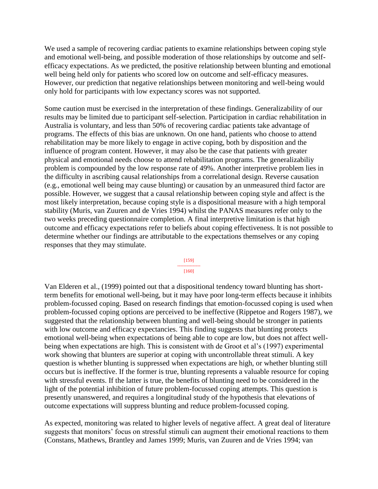We used a sample of recovering cardiac patients to examine relationships between coping style and emotional well-being, and possible moderation of those relationships by outcome and selfefficacy expectations. As we predicted, the positive relationship between blunting and emotional well being held only for patients who scored low on outcome and self-efficacy measures. However, our prediction that negative relationships between monitoring and well-being would only hold for participants with low expectancy scores was not supported.

Some caution must be exercised in the interpretation of these findings. Generalizability of our results may be limited due to participant self-selection. Participation in cardiac rehabilitation in Australia is voluntary, and less than 50% of recovering cardiac patients take advantage of programs. The effects of this bias are unknown. On one hand, patients who choose to attend rehabilitation may be more likely to engage in active coping, both by disposition and the influence of program content. However, it may also be the case that patients with greater physical and emotional needs choose to attend rehabilitation programs. The generalizabiliy problem is compounded by the low response rate of 49%. Another interpretive problem lies in the difficulty in ascribing causal relationships from a correlational design. Reverse causation (e.g., emotional well being may cause blunting) or causation by an unmeasured third factor are possible. However, we suggest that a causal relationship between coping style and affect is the most likely interpretation, because coping style is a dispositional measure with a high temporal stability (Muris, van Zuuren and de Vries 1994) whilst the PANAS measures refer only to the two weeks preceding questionnaire completion. A final interpretive limitation is that high outcome and efficacy expectations refer to beliefs about coping effectiveness. It is not possible to determine whether our findings are attributable to the expectations themselves or any coping responses that they may stimulate.



Van Elderen et al., (1999) pointed out that a dispositional tendency toward blunting has shortterm benefits for emotional well-being, but it may have poor long-term effects because it inhibits problem-focussed coping. Based on research findings that emotion-focussed coping is used when problem-focussed coping options are perceived to be ineffective (Rippetoe and Rogers 1987), we suggested that the relationship between blunting and well-being should be stronger in patients with low outcome and efficacy expectancies. This finding suggests that blunting protects emotional well-being when expectations of being able to cope are low, but does not affect wellbeing when expectations are high. This is consistent with de Groot et al's (1997) experimental work showing that blunters are superior at coping with uncontrollable threat stimuli. A key question is whether blunting is suppressed when expectations are high, or whether blunting still occurs but is ineffective. If the former is true, blunting represents a valuable resource for coping with stressful events. If the latter is true, the benefits of blunting need to be considered in the light of the potential inhibition of future problem-focussed coping attempts. This question is presently unanswered, and requires a longitudinal study of the hypothesis that elevations of outcome expectations will suppress blunting and reduce problem-focussed coping.

As expected, monitoring was related to higher levels of negative affect. A great deal of literature suggests that monitors' focus on stressful stimuli can augment their emotional reactions to them (Constans, Mathews, Brantley and James 1999; Muris, van Zuuren and de Vries 1994; van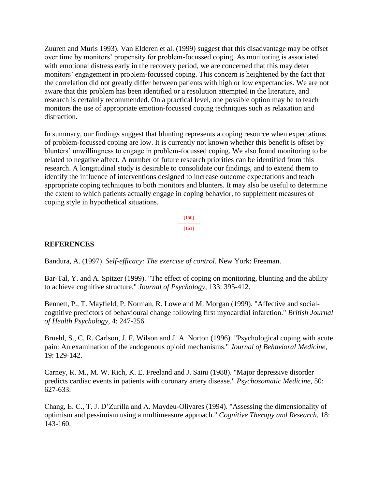Zuuren and Muris 1993). Van Elderen et al. (1999) suggest that this disadvantage may be offset over time by monitors' propensity for problem-focussed coping. As monitoring is associated with emotional distress early in the recovery period, we are concerned that this may deter monitors' engagement in problem-focussed coping. This concern is heightened by the fact that the correlation did not greatly differ between patients with high or low expectancies. We are not aware that this problem has been identified or a resolution attempted in the literature, and research is certainly recommended. On a practical level, one possible option may be to teach monitors the use of appropriate emotion-focussed coping techniques such as relaxation and distraction.

In summary, our findings suggest that blunting represents a coping resource when expectations of problem-focussed coping are low. It is currently not known whether this benefit is offset by blunters' unwillingness to engage in problem-focussed coping. We also found monitoring to be related to negative affect. A number of future research priorities can be identified from this research. A longitudinal study is desirable to consolidate our findings, and to extend them to identify the influence of interventions designed to increase outcome expectations and teach appropriate coping techniques to both monitors and blunters. It may also be useful to determine the extent to which patients actually engage in coping behavior, to supplement measures of coping style in hypothetical situations.

> [160] --------------- [161]

### **REFERENCES**

Bandura, A. (1997). *Self-efficacy: The exercise of control*. New York: Freeman.

Bar-Tal, Y. and A. Spitzer (1999). "The effect of coping on monitoring, blunting and the ability to achieve cognitive structure." *Journal of Psychology*, 133: 395-412.

Bennett, P., T. Mayfield, P. Norman, R. Lowe and M. Morgan (1999). "Affective and socialcognitive predictors of behavioural change following first myocardial infarction." *British Journal of Health Psychology*, 4: 247-256.

Bruehl, S., C. R. Carlson, J. F. Wilson and J. A. Norton (1996). "Psychological coping with acute pain: An examination of the endogenous opioid mechanisms." *Journal of Behavioral Medicine*, 19: 129-142.

Carney, R. M., M. W. Rich, K. E. Freeland and J. Saini (1988). "Major depressive disorder predicts cardiac events in patients with coronary artery disease." *Psychosomatic Medicine*, 50: 627-633.

Chang, E. C., T. J. D'Zurilla and A. Maydeu-Olivares (1994). "Assessing the dimensionality of optimism and pessimism using a multimeasure approach." *Cognitive Therapy and Research*, 18: 143-160.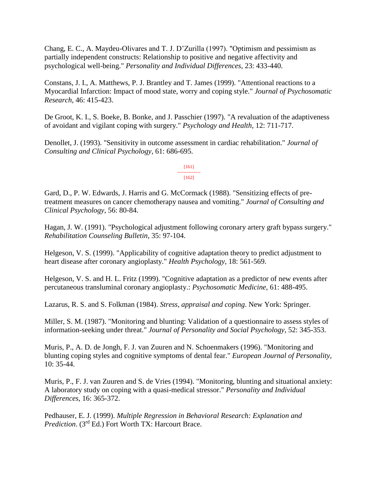Chang, E. C., A. Maydeu-Olivares and T. J. D'Zurilla (1997). "Optimism and pessimism as partially independent constructs: Relationship to positive and negative affectivity and psychological well-being." *Personality and Individual Differences*, 23: 433-440.

Constans, J. I., A. Matthews, P. J. Brantley and T. James (1999). "Attentional reactions to a Myocardial Infarction: Impact of mood state, worry and coping style." *Journal of Psychosomatic Research*, 46: 415-423.

De Groot, K. I., S. Boeke, B. Bonke, and J. Passchier (1997). "A revaluation of the adaptiveness of avoidant and vigilant coping with surgery." *Psychology and Health*, 12: 711-717.

Denollet, J. (1993). "Sensitivity in outcome assessment in cardiac rehabilitation." *Journal of Consulting and Clinical Psychology*, 61: 686-695.

> [161] --------------- [162]

Gard, D., P. W. Edwards, J. Harris and G. McCormack (1988). "Sensitizing effects of pretreatment measures on cancer chemotherapy nausea and vomiting." *Journal of Consulting and Clinical Psychology*, 56: 80-84.

Hagan, J. W. (1991). "Psychological adjustment following coronary artery graft bypass surgery." *Rehabilitation Counseling Bulletin*, 35: 97-104.

Helgeson, V. S. (1999). "Applicability of cognitive adaptation theory to predict adjustment to heart disease after coronary angioplasty." *Health Psychology*, 18: 561-569.

Helgeson, V. S. and H. L. Fritz (1999). "Cognitive adaptation as a predictor of new events after percutaneous transluminal coronary angioplasty.: *Psychosomatic Medicine*, 61: 488-495.

Lazarus, R. S. and S. Folkman (1984). *Stress, appraisal and coping*. New York: Springer.

Miller, S. M. (1987). "Monitoring and blunting: Validation of a questionnaire to assess styles of information-seeking under threat." *Journal of Personality and Social Psychology*, 52: 345-353.

Muris, P., A. D. de Jongh, F. J. van Zuuren and N. Schoenmakers (1996). "Monitoring and blunting coping styles and cognitive symptoms of dental fear." *European Journal of Personality*, 10: 35-44.

Muris, P., F. J. van Zuuren and S. de Vries (1994). "Monitoring, blunting and situational anxiety: A laboratory study on coping with a quasi-medical stressor." *Personality and Individual Differences*, 16: 365-372.

Pedhauser, E. J. (1999). *Multiple Regression in Behavioral Research: Explanation and Prediction*. (3rd Ed.) Fort Worth TX: Harcourt Brace.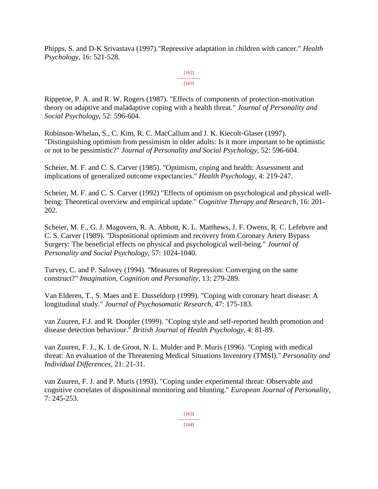Phipps, S. and D-K Srivastava (1997)."Repressive adaptation in children with cancer." *Health Psychology*, 16: 521-528.

#### [162] --------------- [163]

Rippetoe, P. A. and R. W. Rogers (1987). "Effects of components of protection-motivation theory on adaptive and maladaptive coping with a health threat." *Journal of Personality and Social Psychology*, 52: 596-604.

Robinson-Whelan, S., C. Kim, R. C. MacCallum and J. K. Kiecolt-Glaser (1997). "Distinguishing optimism from pessimism in older adults: Is it more important to be optimistic or not to be pessimistic?" *Journal of Personality and Social Psychology*, 52: 596-604.

Scheier, M. F. and C. S. Carver (1985). "Optimism, coping and health: Assessment and implications of generalized outcome expectancies." *Health Psychology*, 4: 219-247.

Scheier, M. F. and C. S. Carver (1992) "Effects of optimism on psychological and physical wellbeing: Theoretical overview and empirical update." *Cognitive Therapy and Research*, 16: 201- 202.

Scheier, M. F., G. J. Magovern, R. A. Abbott, K. L. Matthews, J. F. Owens, R. C. Lefebvre and C. S. Carver (1989). "Dispositional optimism and recovery from Coronary Artery Bypass Surgery: The beneficial effects on physical and psychological well-being." *Journal of Personality and Social Psychology*, 57: 1024-1040.

Turvey, C. and P. Salovey (1994). "Measures of Repression: Converging on the same construct?" *Imagination, Cognition and Personality*, 13: 279-289.

Van Elderen, T., S. Maes and E. Dusseldorp (1999). "Coping with coronary heart disease: A longitudinal study." *Journal of Psychosomatic Research*, 47: 175-183.

van Zuuren, F.J. and R. Doopler (1999). "Coping style and self-reported health promotion and disease detection behaviour." *British Journal of Health Psychology*, 4: 81-89.

van Zuuren, F. J., K. I. de Groot, N. L. Mulder and P. Muris (1996). "Coping with medical threat: An evaluation of the Threatening Medical Situations Inventory (TMSI)." *Personality and Individual Differences*, 21: 21-31.

van Zuuren, F. J. and P. Muris (1993). "Coping under experimental threat: Observable and cognitive correlates of dispositional monitoring and blunting." *European Journal of Personality*, 7: 245-253.